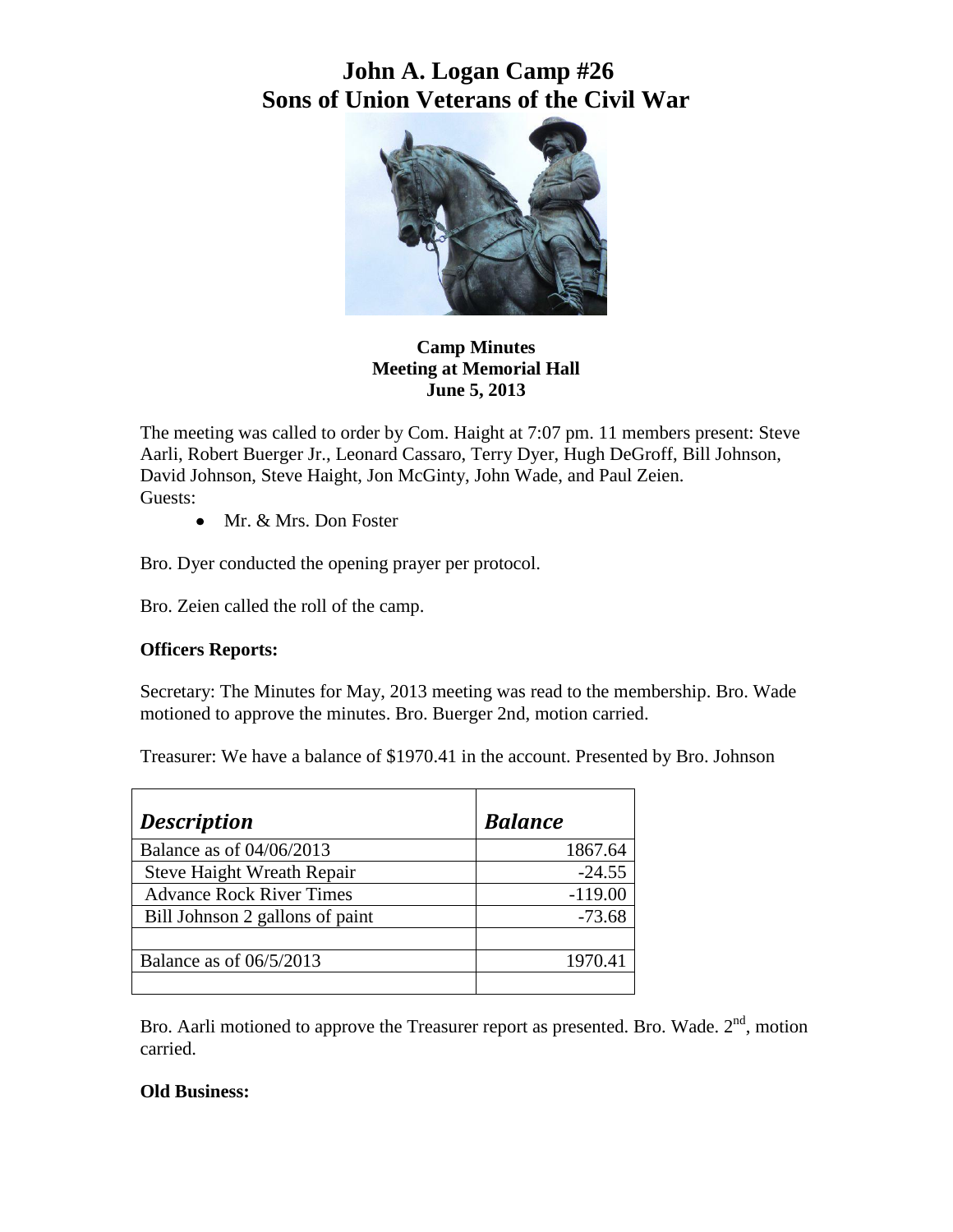## **John A. Logan Camp #26 Sons of Union Veterans of the Civil War**



**Camp Minutes Meeting at Memorial Hall June 5, 2013**

The meeting was called to order by Com. Haight at 7:07 pm. 11 members present: Steve Aarli, Robert Buerger Jr., Leonard Cassaro, Terry Dyer, Hugh DeGroff, Bill Johnson, David Johnson, Steve Haight, Jon McGinty, John Wade, and Paul Zeien. Guests:

• Mr. & Mrs. Don Foster

Bro. Dyer conducted the opening prayer per protocol.

Bro. Zeien called the roll of the camp.

## **Officers Reports:**

Secretary: The Minutes for May, 2013 meeting was read to the membership. Bro. Wade motioned to approve the minutes. Bro. Buerger 2nd, motion carried.

Treasurer: We have a balance of \$1970.41 in the account. Presented by Bro. Johnson

| <b>Description</b>              | <b>Balance</b> |
|---------------------------------|----------------|
| Balance as of 04/06/2013        | 1867.64        |
| Steve Haight Wreath Repair      | $-24.55$       |
| <b>Advance Rock River Times</b> | $-119.00$      |
| Bill Johnson 2 gallons of paint | $-73.68$       |
|                                 |                |
| Balance as of 06/5/2013         | 1970.41        |
|                                 |                |

Bro. Aarli motioned to approve the Treasurer report as presented. Bro. Wade.  $2<sup>nd</sup>$ , motion carried.

## **Old Business:**